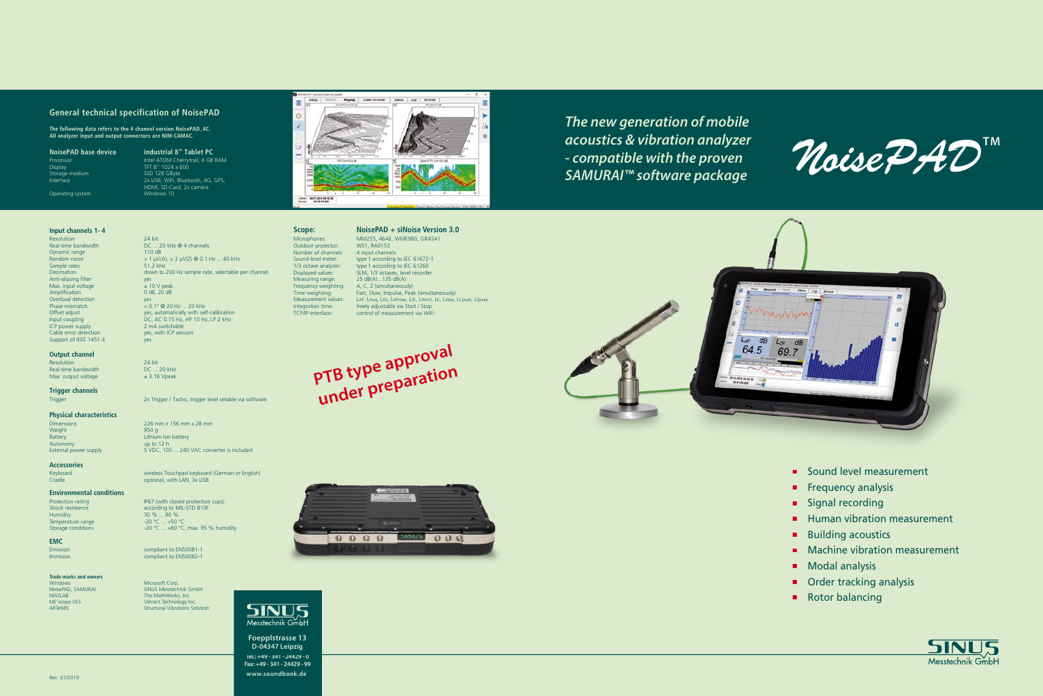**Foepplstrasse 13 D-04347 Leipzig Tel.: +49 - 341 - 24429 - 0 Fax: +49 - 341 - 24429 - 99 www.soundbook.de**

*The new generation of mobile acoustics & vibration analyzer - compatible with the proven SAMURAI™ software package*

**PTB type approval under preparation**



# **Scope: NoisePAD + siNoise Version 3.0**

Outdoor protector: WS1, RA0153<br>Number of channels: 4 input channels Number of channels:<br>Sound level meter: Measuring range:

# Microphones: MM255, 46AE, WME980, GRAS41<br>Outdoor protector: WS1, RA0153 Sound level meter: type 1 according to IEC 61672-1<br>1/3 octave analyzer: type 1 according to IEC 61260

1/3 octave analyzer: type 1 according to IEC 61260<br>Displayed values: SLM, 1/3 octaves, level recorder SLM, 1/3 octaves, level recorder<br>25 dB(A)...135 dB(A) Frequency weighting: A, C, Z (simultaneously) Time weighting: Fast, Slow, Impulse, Peak (simultaneously)<br>Measurement values: LAE LAeg LAS LAEmax LZE LAtm5 LE LAIeg LAF, LAeq, LAS, LAFmax, LZF, LAtm5, LE, LAIeq, LCpeak, LZpeak Integration time: freely adjustable via Start / Stop<br>TCP/IP-interface: control of measurement via WiF control of measurement via WiFi

#### **General technical specification of NoisePAD**

Dimensions 226 mm x 156 mm x 28 mm Lithium Ion battery 5 VDC, 100 ... 240 VAC converter is included

2x Trigger / Tacho, trigger level setable via software

**The following data refers to the 4 channel version NoisePAD\_4C. All analyzer input and output connectors are NIM-CAMAC.**

Processor<br>Display<br>Storage medium<br>Interface

Operating system

Keyboard wireless Touchpad keyboard (German or English)<br>
Cradle Cradic Cradic Cradic Cradic Cradic Cradic Cradic Cradic Cradic Cradic Cradic Cradic Cradic Cradic Crad<br>
Cradic Cradic Cradic Cradic Cradic Cradic Cradic Cradi Cradle optional, with LAN, 3x USB

-20 °C ... +60 °C, max. 95 % humidity

 $30 \% ... 90 \%$ <br>-20 °C ... +50 °C

compliant to EN50082-1

## **Environmental conditions**<br>**Protection rating**

Protection rating IP67 (with closed protection cups)<br>Shock resistance according to MII-STD 810F Shock resistance<br>
Shock resistance<br>
Humidity<br>  $30\%...90\%$ <br>  $90\%$ Temperature range<br>Storage conditions

**NoisePAD base device industrial 8" Tablet PC** Processor **Intel ATOM Cherrytrail, 4 GB RAM** TFT 8" 1024 x 600<br>SSD 128 GByte 2x USB, WiFi, Bluetooth, 4G, GPS, HDMI, SD-Card, 2x camera



**EMC** Emission compliant to EN50081-1<br>
Immision compliant to EN50082-1

#### **Input channels 1- 4**

Resolution 24 bit<br>Real-time bandwidth DC ... Dynamic range<br>Random noise Sample rates<br>Decimation Anti-aliasing filter Max. input voltage  $\pm 10$  V peak<br>Amplification  $0$  dB. 20 dB **Amplification** Overload detection<br>Phase mismatch ICP power supply<br>Cable error detection Support of IEEE 1451.4 yes

Windows Microsoft Corp.<br>
NoisePAD, SAMURAI SINUS Messtechn NoisePAD, SAMURAI SINUS Messtechnik GmbH<br>MATLAB SINUS The MathWorks, Inc. MATLAB The MathWorks, Inc.<br>
ME'scope VES The MathWorks, Inc.<br>
ME'scope VES Vibrant Technology In<br>
ARTEMIS Structural Vibrations ME'scope VES Vibrant Technology Inc. ARTeMIS Structural Vibrations Solution





#### **Output channel**

Resolution 24 bit<br>Real-time bandwidth DC 20 kHz Real-time bandwidth  $DC ... 20$  kHz<br>Max. output voltage  $\pm 3.16$  Vpeak Max. output voltage

 $DC ... 20$  kHz @ 4 channels  $> 1 \mu V(A), < 2 \mu V(Z) \otimes 0.1$  Hz ... 40 kHz<br>51.2 kHz down to 200 Hz sample rate, selectable per channel<br>yes<br> $\pm$  10 V peak Phase mismatch  $\begin{array}{c} \text{y} & \text{y} \\ \text{Phase mismatch} \\ \text{O.1}^{\circ} \text{ @ 20 Hz} \dots 20 \text{ kHz} \\ \text{yes, automatically with self} \end{array}$ Offset adjust yes, automatically with self-calibration<br>
DC, AC 0.15 Hz, HP 10 Hz, LP 2 kHz DC, AC 0.15 Hz, HP 10 Hz, LP 2 kHz<br>2 mA switchable yes, with ICP sensors

**Trigger channels**

Weight<br>Battery Autonomy up to 12 h<br>Fxternal power supply that the SADC, 100

**Physical characteristics**

**Accessories**

**Trade marks and owners**

 $\mathcal{M}$ oise $\mathcal{P} \mathcal{A} \mathcal{D}^{\mathrm{TM}}$ 

- Sound level measurement
- $\blacksquare$  Frequency analysis
- **Signal recording**
- Human vibration measurement m.
- Building acoustics  $\blacksquare$
- **Machine vibration measurement**
- $\blacksquare$ Modal analysis
- Order tracking analysis
- Rotor balancing